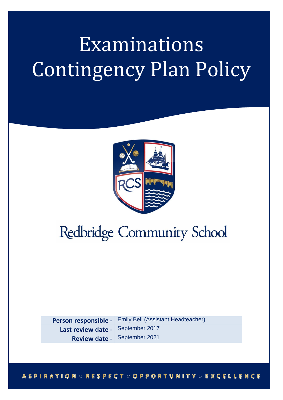# Examinations Contingency Plan Policy



# Redbridge Community School

**Person responsible -** Emily Bell (Assistant Headteacher) **Last review date -** September 2017

**Review date -** September 2021

#### **ASPIRATION : RESPECT : OPPORTUNITY : EXCELLENCE**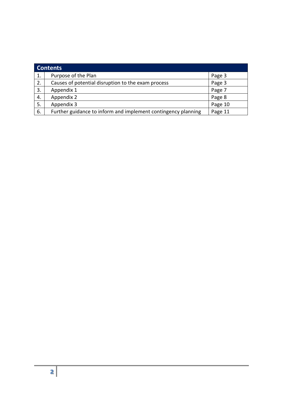| <b>Contents</b> |                                                               |         |  |
|-----------------|---------------------------------------------------------------|---------|--|
| 1.              | Purpose of the Plan                                           | Page 3  |  |
| 2.              | Causes of potential disruption to the exam process            | Page 3  |  |
| 3.              | Appendix 1                                                    | Page 7  |  |
| 4.              | Appendix 2                                                    | Page 8  |  |
| 5.              | Appendix 3                                                    | Page 10 |  |
| 6.              | Further guidance to inform and implement contingency planning | Page 11 |  |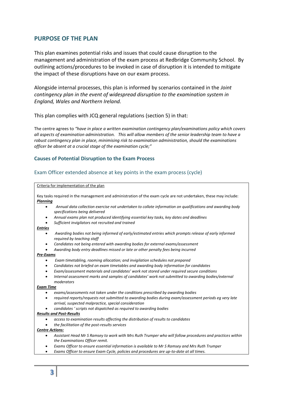#### **PURPOSE OF THE PLAN**

This plan examines potential risks and issues that could cause disruption to the management and administration of the exam process at Redbridge Community School. By outlining actions/procedures to be invoked in case of disruption it is intended to mitigate the impact of these disruptions have on our exam process.

Alongside internal processes, this plan is informed by scenarios contained in the *Joint contingency plan in the event of widespread disruption to the examination system in England, Wales and Northern Ireland.*

This plan complies with JCQ general regulations (section 5) in that:

The centre agrees to *"have in place a written examination contingency plan/examinations policy which covers all aspects of examination administration. This will allow members of the senior leadership team to have a robust contingency plan in place, minimising risk to examination administration, should the examinations officer be absent at a crucial stage of the examination cycle;"*

#### **Causes of Potential Disruption to the Exam Process**

#### Exam Officer extended absence at key points in the exam process (cycle)

#### Criteria for implementation of the plan

Key tasks required in the management and administration of the exam cycle are not undertaken, these may include: *Planning*

- *Annual data collection exercise not undertaken to collate information on qualifications and awarding body specifications being delivered*
- *Annual exams plan not produced identifying essential key tasks, key dates and deadlines*
- *Sufficient invigilators not recruited and trained*

#### *Entries*

- *Awarding bodies not being informed of early/estimated entries which prompts release of early informed required by teaching staff*
- *Candidates not being entered with awarding bodies for external exams/assessment*
- *Awarding body entry deadlines missed or late or other penalty fees being incurred*

#### *Pre-Exams*

- *Exam timetabling, rooming allocation; and invigilation schedules not prepared*
- *Candidates not briefed on exam timetables and awarding body information for candidates*
- *Exam/assessment materials and candidates' work not stored under required secure conditions*
- *Internal assessment marks and samples of candidates' work not submitted to awarding bodies/external moderators*

#### *Exam Time*

- *exams/assessments not taken under the conditions prescribed by awarding bodies*
- *required reports/requests not submitted to awarding bodies during exam/assessment periods eg very late arrival, suspected malpractice, special consideration*
- *candidates ' scripts not dispatched as required to awarding bodies*

#### *Results and Post-Results*

- *access to examination results affecting the distribution of results to candidates*
- *the facilitation of the post-results services*

#### *Centre Actions:*

- *Assistant Head Mr S Ramsey to work with Mrs Ruth Trumper who will follow procedures and practices within the Examinations Officer remit.*
- *Exams Officer to ensure essential information is available to Mr S Ramsey and Mrs Ruth Trumper*
- *Exams Officer to ensure Exam Cycle, policies and procedures are up-to-date at all times.*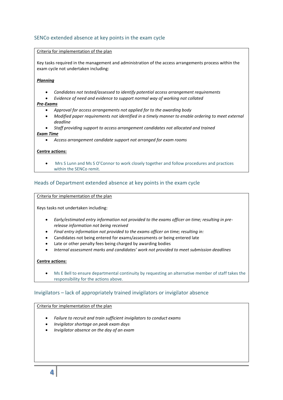#### SENCo extended absence at key points in the exam cycle

#### Criteria for implementation of the plan

Key tasks required in the management and administration of the access arrangements process within the exam cycle not undertaken including:

#### *Planning*

- *Candidates not tested/assessed to identify potential access arrangement requirements*
- *Evidence of need and evidence to support normal way of working not collated*

#### *Pre-Exams*

- *Approval for access arrangements not applied for to the awarding body*
- *Modified paper requirements not identified in a timely manner to enable ordering to meet external deadline*
- *Staff providing support to access arrangement candidates not allocated and trained*

#### *Exam Time*

*Access arrangement candidate support not arranged for exam rooms*

#### **Centre actions:**

 Mrs S Lunn and Ms S O'Connor to work closely together and follow procedures and practices within the SENCo remit.

#### Heads of Department extended absence at key points in the exam cycle

#### Criteria for implementation of the plan

Keys tasks not undertaken including:

- *Early/estimated entry information not provided to the exams officer on time; resulting in prerelease information not being received*
- *Final entry information not provided to the exams officer on time; resulting in:*
- Candidates not being entered for exams/assessments or being entered late
- Late or other penalty fees being charged by awarding bodies
- *Internal assessment marks and candidates' work not provided to meet submission deadlines*

#### **Centre actions:**

 Ms E Bell to ensure departmental continuity by requesting an alternative member of staff takes the responsibility for the actions above.

#### Invigilators – lack of appropriately trained invigilators or invigilator absence

#### Criteria for implementation of the plan

- *Failure to recruit and train sufficient invigilators to conduct exams*
- *Invigilator shortage on peak exam days*
- *Invigilator absence on the day of an exam*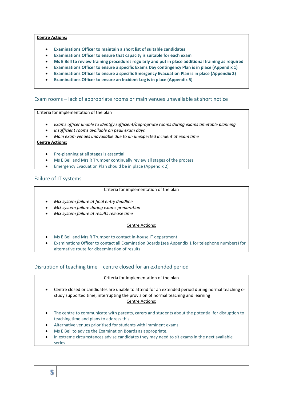#### **Centre Actions:**

- **Examinations Officer to maintain a short list of suitable candidates**
- **Examinations Officer to ensure that capacity is suitable for each exam**
- **Ms E Bell to review training procedures regularly and put in place additional training as required**
- **Examinations Officer to ensure a specific Exams Day contingency Plan is in place (Appendix 1)**
- **Examinations Officer to ensure a specific Emergency Evacuation Plan is in place (Appendix 2)**
- **Examinations Officer to ensure an Incident Log is in place (Appendix 5)**

#### Exam rooms – lack of appropriate rooms or main venues unavailable at short notice

#### Criteria for implementation of the plan

- *Exams officer unable to identify sufficient/appropriate rooms during exams timetable planning*
- *Insufficient rooms available on peak exam days*
- *Main exam venues unavailable due to an unexpected incident at exam time*

#### **Centre Actions:**

- **•** Pre-planning at all stages is essential
- Ms E Bell and Mrs R Trumper continually review all stages of the process
- Emergency Evacuation Plan should be in place (Appendix 2)

#### Failure of IT systems

#### Criteria for implementation of the plan

- *MIS system failure at final entry deadline*
- *MIS system failure during exams preparation*
- *MIS system failure at results release time*

#### Centre Actions:

- Ms E Bell and Mrs R Trumper to contact in-house IT department
- Examinations Officer to contact all Examination Boards (see Appendix 1 for telephone numbers) for alternative route for dissemination of results

#### Disruption of teaching time – centre closed for an extended period

#### Criteria for implementation of the plan

- Centre closed or candidates are unable to attend for an extended period during normal teaching or study supported time, interrupting the provision of normal teaching and learning Centre Actions:
- The centre to communicate with parents, carers and students about the potential for disruption to teaching time and plans to address this.
- Alternative venues prioritised for students with imminent exams.
- Ms E Bell to advice the Examination Boards as appropriate.
- In extreme circumstances advise candidates they may need to sit exams in the next available series.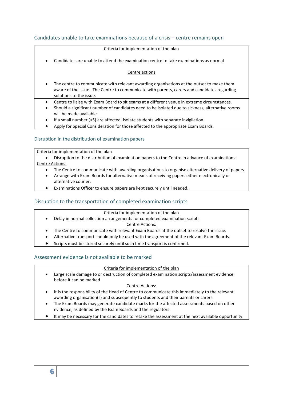#### Candidates unable to take examinations because of a crisis – centre remains open

#### Criteria for implementation of the plan

Candidates are unable to attend the examination centre to take examinations as normal

#### Centre actions

- The centre to communicate with relevant awarding organisations at the outset to make them aware of the issue. The Centre to communicate with parents, carers and candidates regarding solutions to the issue.
- Centre to liaise with Exam Board to sit exams at a different venue in extreme circumstances.
- Should a significant number of candidates need to be isolated due to sickness, alternative rooms will be made available.
- If a small number (>5) are affected, isolate students with separate invigilation.
- Apply for Special Consideration for those affected to the appropriate Exam Boards.

#### Disruption in the distribution of examination papers

Criteria for implementation of the plan

 Disruption to the distribution of examination papers to the Centre in advance of examinations Centre Actions:

- The Centre to communicate with awarding organisations to organise alternative delivery of papers
- Arrange with Exam Boards for alternative means of receiving papers either electronically or alternative courier.
- Examinations Officer to ensure papers are kept securely until needed.

#### Disruption to the transportation of completed examination scripts

Criteria for implementation of the plan

Delay in normal collection arrangements for completed examination scripts

#### Centre Actions:

- The Centre to communicate with relevant Exam Boards at the outset to resolve the issue.
- Alternative transport should only be used with the agreement of the relevant Exam Boards.
- Scripts must be stored securely until such time transport is confirmed.

#### Assessment evidence is not available to be marked

#### Criteria for implementation of the plan

 Large scale damage to or destruction of completed examination scripts/assessment evidence before it can be marked

#### Centre Actions:

- It is the responsibility of the Head of Centre to communicate this immediately to the relevant awarding organisation(s) and subsequently to students and their parents or carers.
- The Exam Boards may generate candidate marks for the affected assessments based on other evidence, as defined by the Exam Boards and the regulators.
- It may be necessary for the candidates to retake the assessment at the next available opportunity.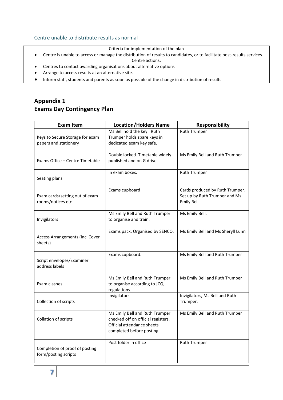#### Centre unable to distribute results as normal

#### Criteria for implementation of the plan

Centre is unable to access or manage the distribution of results to candidates, or to facilitate post-results services.

Centre actions:

- Centres to contact awarding organisations about alternative options
- Arrange to access results at an alternative site.
- Inform staff, students and parents as soon as possible of the change in distribution of results.

### **Appendix 1 Exams Day Contingency Plan**

| <b>Exam Item</b>                                         | <b>Location/Holders Name</b>                                                                                                   | <b>Responsibility</b>                                                           |
|----------------------------------------------------------|--------------------------------------------------------------------------------------------------------------------------------|---------------------------------------------------------------------------------|
| Keys to Secure Storage for exam<br>papers and stationery | Ms Bell hold the key. Ruth<br>Trumper holds spare keys in<br>dedicated exam key safe.                                          | <b>Ruth Trumper</b>                                                             |
| Exams Office - Centre Timetable                          | Double locked. Timetable widely<br>published and on G drive.                                                                   | Ms Emily Bell and Ruth Trumper                                                  |
| Seating plans                                            | In exam boxes.                                                                                                                 | <b>Ruth Trumper</b>                                                             |
| Exam cards/setting out of exam<br>rooms/notices etc      | Exams cupboard                                                                                                                 | Cards produced by Ruth Trumper.<br>Set up by Ruth Trumper and Ms<br>Emily Bell. |
| Invigilators                                             | Ms Emily Bell and Ruth Trumper<br>to organise and train.                                                                       | Ms Emily Bell.                                                                  |
| Access Arrangements (incl Cover<br>sheets)               | Exams pack. Organised by SENCO.                                                                                                | Ms Emily Bell and Ms Sheryll Lunn                                               |
| Script envelopes/Examiner<br>address labels              | Exams cupboard.                                                                                                                | Ms Emily Bell and Ruth Trumper                                                  |
| Exam clashes                                             | Ms Emily Bell and Ruth Trumper<br>to organise according to JCQ<br>regulations.                                                 | Ms Emily Bell and Ruth Trumper                                                  |
| Collection of scripts                                    | Invigilators                                                                                                                   | Invigilators, Ms Bell and Ruth<br>Trumper.                                      |
| Collation of scripts                                     | Ms Emily Bell and Ruth Trumper<br>checked off on official registers.<br>Official attendance sheets<br>completed before posting | Ms Emily Bell and Ruth Trumper                                                  |
| Completion of proof of posting<br>form/posting scripts   | Post folder in office                                                                                                          | <b>Ruth Trumper</b>                                                             |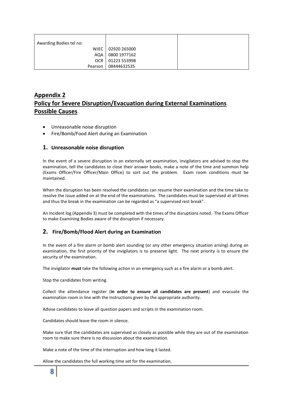| Awarding Bodies tel no: |              |  |
|-------------------------|--------------|--|
| WJEC                    | 02920 265000 |  |
| AQA                     | 0800 1977162 |  |
| OCR                     | 01223 553998 |  |
| Pearson                 | 08444632535  |  |

# **Appendix 2 Policy for Severe Disruption/Evacuation during External Examinations Possible Causes**

- Unreasonable noise disruption
- Fire/Bomb/Food Alert during an Examination

#### **1. Unreasonable noise disruption**

In the event of a severe disruption in an externally set examination, invigilators are advised to stop the examination, tell the candidates to close their answer books, make a note of the time and summon help (Exams Officer/Fire Officer/Main Office) to sort out the problem. Exam room conditions must be maintained.

When the disruption has been resolved the candidates can resume their examination and the time take to resolve the issue added on at the end of the examinations. The candidates must be supervised at all times and thus the break in the examination can be regarded as "a supervised rest break".

An incident log (Appendix 3) must be completed with the times of the disruptions noted. The Exams Officer to make Examining Bodies aware of the disruption if necessary.

#### **2. Fire/Bomb/Flood Alert during an Examination**

In the event of a fire alarm or bomb alert sounding (or any other emergency situation arising) during an examination, the first priority of the invigilators is to preserve light. The next priority is to ensure the security of the examination.

The invigilator **must** take the following action in an emergency such as a fire alarm or a bomb alert.

Stop the candidates from writing.

Collect the attendance register (**in order to ensure all candidates are present**) and evacuate the examination room in line with the instructions given by the appropriate authority.

Advise candidates to leave all question papers and scripts in the examination room.

Candidates should leave the room in silence.

Make sure that the candidates are supervised as closely as possible while they are out of the examination room to make sure there is no discussion about the examination.

Make a note of the time of the interruption and how long it lasted.

Allow the candidates the full working time set for the examination.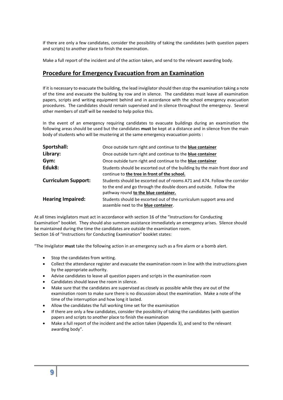If there are only a few candidates, consider the possibility of taking the candidates (with question papers and scripts) to another place to finish the examination.

Make a full report of the incident and of the action taken, and send to the relevant awarding body.

#### **Procedure for Emergency Evacuation from an Examination**

If it is necessary to evacuate the building, the lead invigilator should then stop the examination taking a note of the time and evacuate the building by row and in silence. The candidates must leave all examination papers, scripts and writing equipment behind and in accordance with the school emergency evacuation procedures. The candidates should remain supervised and in silence throughout the emergency. Several other members of staff will be needed to help police this.

In the event of an emergency requiring candidates to evacuate buildings during an examination the following areas should be used but the candidates **must** be kept at a distance and in silence from the main body of students who will be mustering at the same emergency evacuation points :

| Sportshall:                | Once outside turn right and continue to the <b>blue container</b>                                                                                                                       |
|----------------------------|-----------------------------------------------------------------------------------------------------------------------------------------------------------------------------------------|
| Library:                   | Once outside turn right and continue to the <b>blue container</b>                                                                                                                       |
| Gym:                       | Once outside turn right and continue to the <b>blue container</b>                                                                                                                       |
| Eduk8:                     | Students should be escorted out of the building by the main front door and<br>continue to the tree in front of the school.                                                              |
| <b>Curriculum Support:</b> | Students should be escorted out of rooms A71 and A74. Follow the corridor<br>to the end and go through the double doors and outside. Follow the<br>pathway round to the blue container. |
| <b>Hearing Impaired:</b>   | Students should be escorted out of the curriculum support area and<br>assemble next to the <b>blue container</b> .                                                                      |

At all times invigilators must act in accordance with section 16 of the "Instructions for Conducting Examination" booklet. They should also summon assistance immediately an emergency arises. Silence should be maintained during the time the candidates are outside the examination room. Section 16 of "Instructions for Conducting Examination" booklet states:

"The Invigilator **must** take the following action in an emergency such as a fire alarm or a bomb alert.

- Stop the candidates from writing.
- Collect the attendance register and evacuate the examination room in line with the instructions given by the appropriate authority.
- Advise candidates to leave all question papers and scripts in the examination room
- Candidates should leave the room in silence.
- Make sure that the candidates are supervised as closely as possible while they are out of the examination room to make sure there is no discussion about the examination. Make a note of the time of the interruption and how long it lasted.
- Allow the candidates the full working time set for the examination
- If there are only a few candidates, consider the possibility of taking the candidates (with question papers and scripts to another place to finish the examination
- Make a full report of the incident and the action taken (Appendix 3), and send to the relevant awarding body".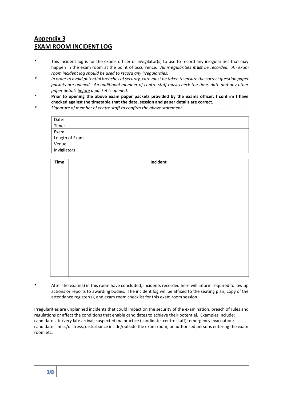## **Appendix 3 EXAM ROOM INCIDENT LOG**

- \* This incident log is for the exams officer or invigilator(s) to use to record any irregularities that may happen in the exam room at the point of occurrence. *All irregularities must be recorded. An exam room incident log should be used to record any irregularities.*
- *\* In order to avoid potential breaches of security, care must be taken to ensure the correct question paper packets are opened. An additional member of centre staff must check the time, date and any other paper details before a packet is opened.*
- *\** **Prior to opening the above exam paper packets provided by the exams officer, I confirm I have checked against the timetable that the date, session and paper details are correct.**
- *\* Signature of member of centre staff to confirm the above statement …………………………………………………..*

| Date:          |  |
|----------------|--|
| Time:          |  |
| Exam:          |  |
| Length of Exam |  |
| Venue:         |  |
| Invigilators   |  |
|                |  |

| <b>Time</b> | Incident |
|-------------|----------|
|             |          |
|             |          |
|             |          |
|             |          |
|             |          |
|             |          |
|             |          |
|             |          |
|             |          |
|             |          |
|             |          |
|             |          |
|             |          |
|             |          |
|             |          |
|             |          |
|             |          |

After the exam(s) in this room have concluded, incidents recorded here will inform required follow up actions or reports to awarding bodies. The incident log will be affixed to the seating plan, copy of the attendance register(s), and exam room checklist for this exam room session.

Irregularities are unplanned incidents that could impact on the security of the examination, breach of rules and regulations or affect the conditions that enable candidates to achieve their potential. Examples include: candidate late/very late arrival; suspected malpractice (candidate, centre staff); emergency evacuation; candidate illness/distress; disturbance inside/outside the exam room; unauthorised persons entering the exam room etc.